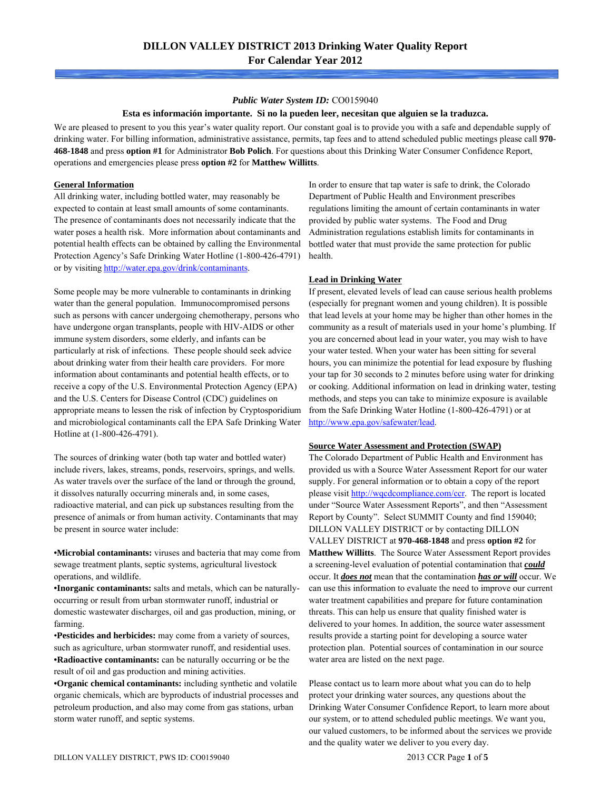#### *Public Water System ID:* CO0159040

#### **Esta es información importante. Si no la pueden leer, necesitan que alguien se la traduzca.**

We are pleased to present to you this year's water quality report. Our constant goal is to provide you with a safe and dependable supply of drinking water. For billing information, administrative assistance, permits, tap fees and to attend scheduled public meetings please call **970- 468-1848** and press **option #1** for Administrator **Bob Polich**. For questions about this Drinking Water Consumer Confidence Report, operations and emergencies please press **option #2** for **Matthew Willitts**.

## **General Information**

All drinking water, including bottled water, may reasonably be expected to contain at least small amounts of some contaminants. The presence of contaminants does not necessarily indicate that the water poses a health risk. More information about contaminants and potential health effects can be obtained by calling the Environmental Protection Agency's Safe Drinking Water Hotline (1-800-426-4791) or by visiting<http://water.epa.gov/drink/contaminants>.

Some people may be more vulnerable to contaminants in drinking water than the general population. Immunocompromised persons such as persons with cancer undergoing chemotherapy, persons who have undergone organ transplants, people with HIV-AIDS or other immune system disorders, some elderly, and infants can be particularly at risk of infections. These people should seek advice about drinking water from their health care providers. For more information about contaminants and potential health effects, or to receive a copy of the U.S. Environmental Protection Agency (EPA) and the U.S. Centers for Disease Control (CDC) guidelines on appropriate means to lessen the risk of infection by Cryptosporidium and microbiological contaminants call the EPA Safe Drinking Water Hotline at (1-800-426-4791).

The sources of drinking water (both tap water and bottled water) include rivers, lakes, streams, ponds, reservoirs, springs, and wells. As water travels over the surface of the land or through the ground, it dissolves naturally occurring minerals and, in some cases, radioactive material, and can pick up substances resulting from the presence of animals or from human activity. Contaminants that may be present in source water include:

**•Microbial contaminants:** viruses and bacteria that may come from sewage treatment plants, septic systems, agricultural livestock operations, and wildlife.

**•Inorganic contaminants:** salts and metals, which can be naturallyoccurring or result from urban stormwater runoff, industrial or domestic wastewater discharges, oil and gas production, mining, or farming.

•**Pesticides and herbicides:** may come from a variety of sources, such as agriculture, urban stormwater runoff, and residential uses. **•Radioactive contaminants:** can be naturally occurring or be the result of oil and gas production and mining activities.

**•Organic chemical contaminants:** including synthetic and volatile organic chemicals, which are byproducts of industrial processes and petroleum production, and also may come from gas stations, urban storm water runoff, and septic systems.

In order to ensure that tap water is safe to drink, the Colorado Department of Public Health and Environment prescribes regulations limiting the amount of certain contaminants in water provided by public water systems. The Food and Drug Administration regulations establish limits for contaminants in bottled water that must provide the same protection for public health.

## **Lead in Drinking Water**

If present, elevated levels of lead can cause serious health problems (especially for pregnant women and young children). It is possible that lead levels at your home may be higher than other homes in the community as a result of materials used in your home's plumbing. If you are concerned about lead in your water, you may wish to have your water tested. When your water has been sitting for several hours, you can minimize the potential for lead exposure by flushing your tap for 30 seconds to 2 minutes before using water for drinking or cooking. Additional information on lead in drinking water, testing methods, and steps you can take to minimize exposure is available from the Safe Drinking Water Hotline (1-800-426-4791) or at [http://www.epa.gov/safewater/lead.](http://www.epa.gov/safewater/lead)

## **Source Water Assessment and Protection (SWAP)**

The Colorado Department of Public Health and Environment has provided us with a Source Water Assessment Report for our water supply. For general information or to obtain a copy of the report please visit [http://wqcdcompliance.com/ccr.](http://wqcdcompliance.com/ccr) The report is located under "Source Water Assessment Reports", and then "Assessment Report by County". Select SUMMIT County and find 159040; DILLON VALLEY DISTRICT or by contacting DILLON VALLEY DISTRICT at **970-468-1848** and press **option #2** for **Matthew Willitts**. The Source Water Assessment Report provides a screening-level evaluation of potential contamination that *could* occur. It *does not* mean that the contamination *has or will* occur. We can use this information to evaluate the need to improve our current water treatment capabilities and prepare for future contamination threats. This can help us ensure that quality finished water is delivered to your homes. In addition, the source water assessment results provide a starting point for developing a source water protection plan. Potential sources of contamination in our source water area are listed on the next page.

Please contact us to learn more about what you can do to help protect your drinking water sources, any questions about the Drinking Water Consumer Confidence Report, to learn more about our system, or to attend scheduled public meetings. We want you, our valued customers, to be informed about the services we provide and the quality water we deliver to you every day.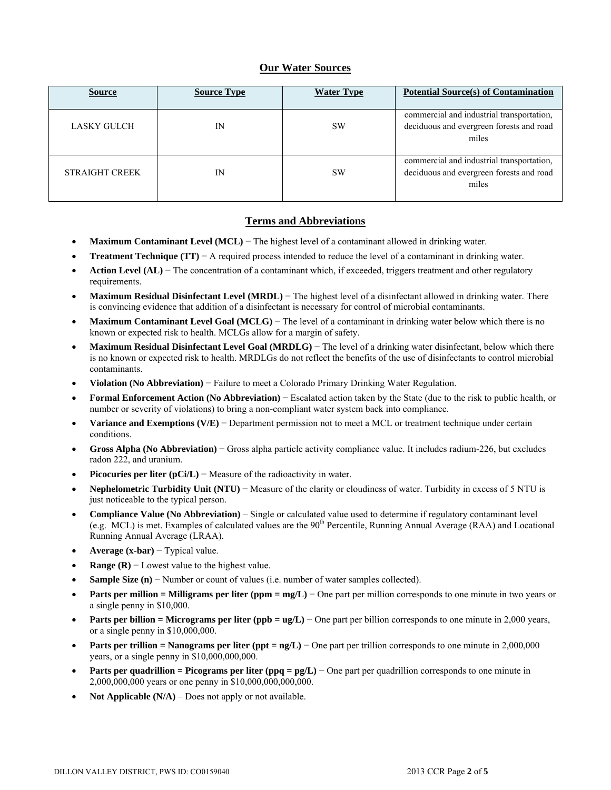# **Our Water Sources**

| <b>Source</b>         | <b>Source Type</b> | <b>Water Type</b> | <b>Potential Source(s) of Contamination</b>                                                    |
|-----------------------|--------------------|-------------------|------------------------------------------------------------------------------------------------|
| LASKY GULCH           | IN                 | <b>SW</b>         | commercial and industrial transportation,<br>deciduous and evergreen forests and road<br>miles |
| <b>STRAIGHT CREEK</b> | IN                 | <b>SW</b>         | commercial and industrial transportation,<br>deciduous and evergreen forests and road<br>miles |

## **Terms and Abbreviations**

- **Maximum Contaminant Level (MCL)** − The highest level of a contaminant allowed in drinking water.
- **Treatment Technique (TT)**  $A$  required process intended to reduce the level of a contaminant in drinking water.
- **Action Level (AL)** − The concentration of a contaminant which, if exceeded, triggers treatment and other regulatory requirements.
- **Maximum Residual Disinfectant Level (MRDL)** − The highest level of a disinfectant allowed in drinking water. There is convincing evidence that addition of a disinfectant is necessary for control of microbial contaminants.
- **Maximum Contaminant Level Goal (MCLG)** − The level of a contaminant in drinking water below which there is no known or expected risk to health. MCLGs allow for a margin of safety.
- **Maximum Residual Disinfectant Level Goal (MRDLG)** − The level of a drinking water disinfectant, below which there is no known or expected risk to health. MRDLGs do not reflect the benefits of the use of disinfectants to control microbial contaminants.
- **Violation (No Abbreviation)** − Failure to meet a Colorado Primary Drinking Water Regulation.
- **Formal Enforcement Action (No Abbreviation)** − Escalated action taken by the State (due to the risk to public health, or number or severity of violations) to bring a non-compliant water system back into compliance.
- **Variance and Exemptions (V/E)** − Department permission not to meet a MCL or treatment technique under certain conditions.
- **Gross Alpha (No Abbreviation)** − Gross alpha particle activity compliance value. It includes radium-226, but excludes radon 222, and uranium.
- **Picocuries per liter (pCi/L)** − Measure of the radioactivity in water.
- **Nephelometric Turbidity Unit (NTU)** − Measure of the clarity or cloudiness of water. Turbidity in excess of 5 NTU is just noticeable to the typical person.
- **Compliance Value (No Abbreviation)** Single or calculated value used to determine if regulatory contaminant level (e.g. MCL) is met. Examples of calculated values are the 90<sup>th</sup> Percentile, Running Annual Average (RAA) and Locational Running Annual Average (LRAA).
- **Average (x-bar)** − Typical value.
- **Range (R)**  $-$  Lowest value to the highest value.
- **Sample Size (n)** − Number or count of values (i.e. number of water samples collected).
- **Parts per million = Milligrams per liter (ppm = mg/L)** − One part per million corresponds to one minute in two years or a single penny in \$10,000.
- **Parts per billion = Micrograms per liter (ppb = ug/L)** − One part per billion corresponds to one minute in 2,000 years, or a single penny in \$10,000,000.
- **Parts per trillion = Nanograms per liter (ppt = ng/L)** − One part per trillion corresponds to one minute in 2,000,000 years, or a single penny in \$10,000,000,000.
- **Parts per quadrillion = Picograms per liter (ppq = pg/L)** − One part per quadrillion corresponds to one minute in 2,000,000,000 years or one penny in \$10,000,000,000,000.
- **Not Applicable (N/A)** Does not apply or not available.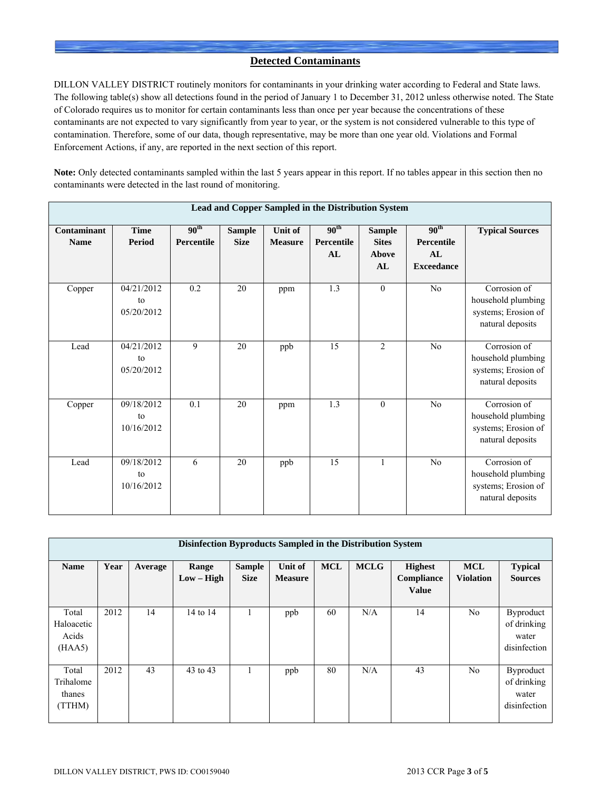# **Detected Contaminants**

DILLON VALLEY DISTRICT routinely monitors for contaminants in your drinking water according to Federal and State laws. The following table(s) show all detections found in the period of January 1 to December 31, 2012 unless otherwise noted. The State of Colorado requires us to monitor for certain contaminants less than once per year because the concentrations of these contaminants are not expected to vary significantly from year to year, or the system is not considered vulnerable to this type of contamination. Therefore, some of our data, though representative, may be more than one year old. Violations and Formal Enforcement Actions, if any, are reported in the next section of this report.

**Note:** Only detected contaminants sampled within the last 5 years appear in this report. If no tables appear in this section then no contaminants were detected in the last round of monitoring.

|                            | Lead and Copper Sampled in the Distribution System |                                |                              |                           |                                      |                                              |                                                           |                                                                               |  |  |  |  |
|----------------------------|----------------------------------------------------|--------------------------------|------------------------------|---------------------------|--------------------------------------|----------------------------------------------|-----------------------------------------------------------|-------------------------------------------------------------------------------|--|--|--|--|
| Contaminant<br><b>Name</b> | <b>Time</b><br>Period                              | 90 <sup>th</sup><br>Percentile | <b>Sample</b><br><b>Size</b> | Unit of<br><b>Measure</b> | 90 <sup>th</sup><br>Percentile<br>AL | <b>Sample</b><br><b>Sites</b><br>Above<br>AL | 90 <sup>th</sup><br>Percentile<br>AL<br><b>Exceedance</b> | <b>Typical Sources</b>                                                        |  |  |  |  |
| Copper                     | 04/21/2012<br>to<br>05/20/2012                     | 0.2                            | 20                           | ppm                       | 1.3                                  | $\mathbf{0}$                                 | No                                                        | Corrosion of<br>household plumbing<br>systems; Erosion of<br>natural deposits |  |  |  |  |
| Lead                       | 04/21/2012<br>to<br>05/20/2012                     | 9                              | 20                           | ppb                       | 15                                   | $\overline{2}$                               | No                                                        | Corrosion of<br>household plumbing<br>systems; Erosion of<br>natural deposits |  |  |  |  |
| Copper                     | 09/18/2012<br>to<br>10/16/2012                     | 0.1                            | 20                           | ppm                       | 1.3                                  | $\theta$                                     | No                                                        | Corrosion of<br>household plumbing<br>systems; Erosion of<br>natural deposits |  |  |  |  |
| Lead                       | 09/18/2012<br>to<br>10/16/2012                     | 6                              | 20                           | ppb                       | 15                                   | $\mathbf{1}$                                 | No                                                        | Corrosion of<br>household plumbing<br>systems; Erosion of<br>natural deposits |  |  |  |  |

|                                        | Disinfection Byproducts Sampled in the Distribution System |         |                       |                              |                           |            |             |                                              |                                |                                                          |  |  |  |
|----------------------------------------|------------------------------------------------------------|---------|-----------------------|------------------------------|---------------------------|------------|-------------|----------------------------------------------|--------------------------------|----------------------------------------------------------|--|--|--|
| <b>Name</b>                            | Year                                                       | Average | Range<br>$Low - High$ | <b>Sample</b><br><b>Size</b> | Unit of<br><b>Measure</b> | <b>MCL</b> | <b>MCLG</b> | <b>Highest</b><br>Compliance<br><b>Value</b> | <b>MCL</b><br><b>Violation</b> | <b>Typical</b><br><b>Sources</b>                         |  |  |  |
| Total<br>Haloacetic<br>Acids<br>(HAA5) | 2012                                                       | 14      | 14 to 14              |                              | ppb                       | 60         | N/A         | 14                                           | N <sub>0</sub>                 | <b>Byproduct</b><br>of drinking<br>water<br>disinfection |  |  |  |
| Total<br>Trihalome<br>thanes<br>(TTHM) | 2012                                                       | 43      | 43 to 43              | $\mathbf{1}$                 | ppb                       | 80         | N/A         | 43                                           | No                             | Byproduct<br>of drinking<br>water<br>disinfection        |  |  |  |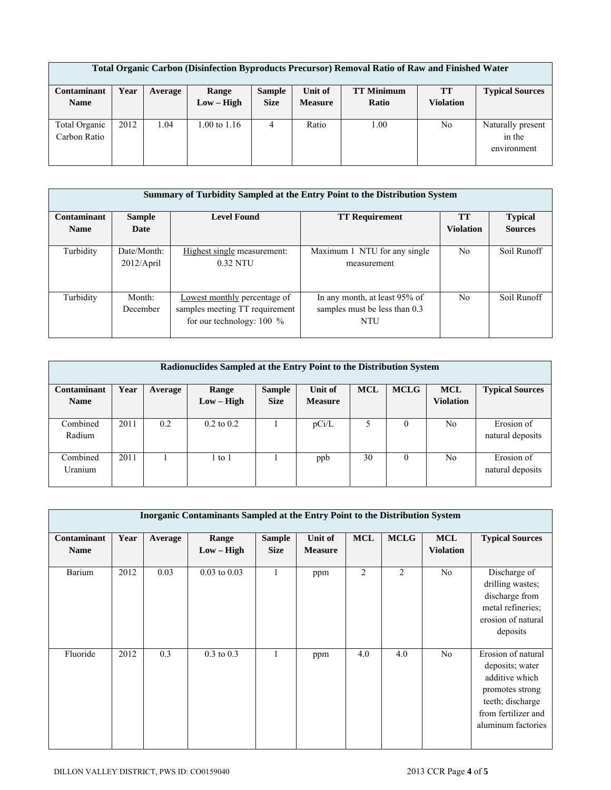| <b>Total Organic Carbon (Disinfection Byproducts Precursor) Removal Ratio of Raw and Finished Water</b> |      |         |              |               |                |                   |                  |                        |  |  |
|---------------------------------------------------------------------------------------------------------|------|---------|--------------|---------------|----------------|-------------------|------------------|------------------------|--|--|
| Contaminant                                                                                             | Year | Average | Range        | <b>Sample</b> | Unit of        | <b>TT Minimum</b> | <b>TT</b>        | <b>Typical Sources</b> |  |  |
| <b>Name</b>                                                                                             |      |         | $Low - High$ | <b>Size</b>   | <b>Measure</b> | Ratio             | <b>Violation</b> |                        |  |  |
|                                                                                                         |      |         |              |               |                |                   |                  |                        |  |  |
| Total Organic                                                                                           | 2012 | 1.04    | 1.00 to 1.16 | 4             | Ratio          | 1.00              | No               | Naturally present      |  |  |
| Carbon Ratio                                                                                            |      |         |              |               |                |                   |                  | in the                 |  |  |
|                                                                                                         |      |         |              |               |                |                   |                  | environment            |  |  |
|                                                                                                         |      |         |              |               |                |                   |                  |                        |  |  |

|                            | Summary of Turbidity Sampled at the Entry Point to the Distribution System |                                                                                               |                                                                              |                               |                                  |  |  |  |  |  |  |  |
|----------------------------|----------------------------------------------------------------------------|-----------------------------------------------------------------------------------------------|------------------------------------------------------------------------------|-------------------------------|----------------------------------|--|--|--|--|--|--|--|
| Contaminant<br><b>Name</b> | <b>Sample</b><br>Date                                                      | <b>Level Found</b>                                                                            | <b>TT Requirement</b>                                                        | <b>TT</b><br><b>Violation</b> | <b>Typical</b><br><b>Sources</b> |  |  |  |  |  |  |  |
|                            |                                                                            |                                                                                               |                                                                              |                               |                                  |  |  |  |  |  |  |  |
| Turbidity                  | Date/Month:<br>2012/April                                                  | Highest single measurement:<br>$0.32$ NTU                                                     | Maximum 1 NTU for any single<br>measurement                                  | N <sub>0</sub>                | Soil Runoff                      |  |  |  |  |  |  |  |
| Turbidity                  | Month:<br>December                                                         | Lowest monthly percentage of<br>samples meeting TT requirement<br>for our technology: $100\%$ | In any month, at least 95% of<br>samples must be less than 0.3<br><b>NTU</b> | N <sub>0</sub>                | Soil Runoff                      |  |  |  |  |  |  |  |

| Radionuclides Sampled at the Entry Point to the Distribution System |      |         |                       |                              |                           |            |             |                                |                                |  |  |
|---------------------------------------------------------------------|------|---------|-----------------------|------------------------------|---------------------------|------------|-------------|--------------------------------|--------------------------------|--|--|
| Contaminant<br><b>Name</b>                                          | Year | Average | Range<br>$Low - High$ | <b>Sample</b><br><b>Size</b> | Unit of<br><b>Measure</b> | <b>MCL</b> | <b>MCLG</b> | <b>MCL</b><br><b>Violation</b> | <b>Typical Sources</b>         |  |  |
| Combined<br>Radium                                                  | 2011 | 0.2     | $0.2 \text{ to } 0.2$ |                              | pCi/L                     |            | $\theta$    | No                             | Erosion of<br>natural deposits |  |  |
| Combined<br>Uranium                                                 | 2011 |         | to 1                  |                              | ppb                       | 30         | 0           | No                             | Erosion of<br>natural deposits |  |  |

|                            | <b>Inorganic Contaminants Sampled at the Entry Point to the Distribution System</b> |         |                       |                              |                           |                |                |                                |                                                                                                                                             |  |  |
|----------------------------|-------------------------------------------------------------------------------------|---------|-----------------------|------------------------------|---------------------------|----------------|----------------|--------------------------------|---------------------------------------------------------------------------------------------------------------------------------------------|--|--|
| Contaminant<br><b>Name</b> | Year                                                                                | Average | Range<br>$Low - High$ | <b>Sample</b><br><b>Size</b> | Unit of<br><b>Measure</b> | <b>MCL</b>     | <b>MCLG</b>    | <b>MCL</b><br><b>Violation</b> | <b>Typical Sources</b>                                                                                                                      |  |  |
| Barium                     | 2012                                                                                | 0.03    | $0.03$ to $0.03$      | $\mathbf{1}$                 | ppm                       | $\overline{2}$ | $\overline{2}$ | No                             | Discharge of<br>drilling wastes;<br>discharge from<br>metal refineries;<br>erosion of natural<br>deposits                                   |  |  |
| Fluoride                   | 2012                                                                                | 0.3     | $0.3$ to $0.3$        |                              | ppm                       | 4.0            | 4.0            | No                             | Erosion of natural<br>deposits; water<br>additive which<br>promotes strong<br>teeth; discharge<br>from fertilizer and<br>aluminum factories |  |  |